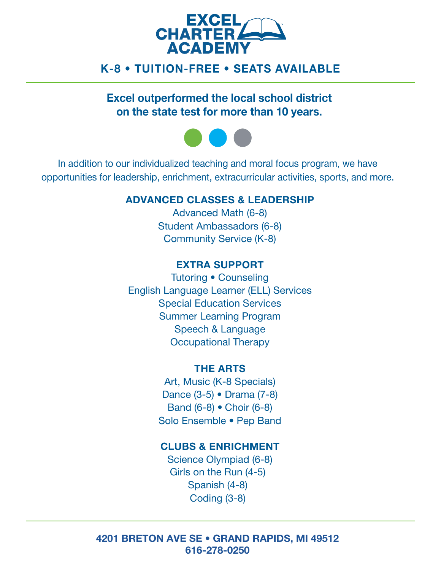

# K-8 • TUITION-FREE • SEATS AVAILABLE

Excel outperformed the local school district on the state test for more than 10 years.



In addition to our individualized teaching and moral focus program, we have opportunities for leadership, enrichment, extracurricular activities, sports, and more.

### ADVANCED CLASSES & LEADERSHIP

Advanced Math (6-8) Student Ambassadors (6-8) Community Service (K-8)

### EXTRA SUPPORT

Tutoring • Counseling English Language Learner (ELL) Services Special Education Services Summer Learning Program Speech & Language Occupational Therapy

#### THE ARTS

Art, Music (K-8 Specials) Dance (3-5) • Drama (7-8) Band (6-8) • Choir (6-8) Solo Ensemble • Pep Band

### CLUBS & ENRICHMENT

Science Olympiad (6-8) Girls on the Run (4-5) Spanish (4-8) Coding (3-8)

#### 4201 BRETON AVE SE • GRAND RAPIDS, MI 49512 616-278-0250